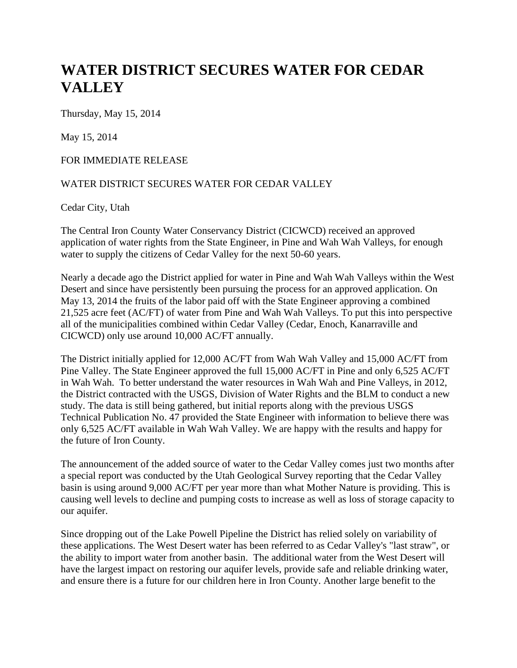## **WATER DISTRICT SECURES WATER FOR CEDAR VALLEY**

Thursday, May 15, 2014

May 15, 2014

## FOR IMMEDIATE RELEASE

## WATER DISTRICT SECURES WATER FOR CEDAR VALLEY

Cedar City, Utah

The Central Iron County Water Conservancy District (CICWCD) received an approved application of water rights from the State Engineer, in Pine and Wah Wah Valleys, for enough water to supply the citizens of Cedar Valley for the next 50-60 years.

Nearly a decade ago the District applied for water in Pine and Wah Wah Valleys within the West Desert and since have persistently been pursuing the process for an approved application. On May 13, 2014 the fruits of the labor paid off with the State Engineer approving a combined 21,525 acre feet (AC/FT) of water from Pine and Wah Wah Valleys. To put this into perspective all of the municipalities combined within Cedar Valley (Cedar, Enoch, Kanarraville and CICWCD) only use around 10,000 AC/FT annually.

The District initially applied for 12,000 AC/FT from Wah Wah Valley and 15,000 AC/FT from Pine Valley. The State Engineer approved the full 15,000 AC/FT in Pine and only 6,525 AC/FT in Wah Wah. To better understand the water resources in Wah Wah and Pine Valleys, in 2012, the District contracted with the USGS, Division of Water Rights and the BLM to conduct a new study. The data is still being gathered, but initial reports along with the previous USGS Technical Publication No. 47 provided the State Engineer with information to believe there was only 6,525 AC/FT available in Wah Wah Valley. We are happy with the results and happy for the future of Iron County.

The announcement of the added source of water to the Cedar Valley comes just two months after a special report was conducted by the Utah Geological Survey reporting that the Cedar Valley basin is using around 9,000 AC/FT per year more than what Mother Nature is providing. This is causing well levels to decline and pumping costs to increase as well as loss of storage capacity to our aquifer.

Since dropping out of the Lake Powell Pipeline the District has relied solely on variability of these applications. The West Desert water has been referred to as Cedar Valley's "last straw", or the ability to import water from another basin. The additional water from the West Desert will have the largest impact on restoring our aquifer levels, provide safe and reliable drinking water, and ensure there is a future for our children here in Iron County. Another large benefit to the